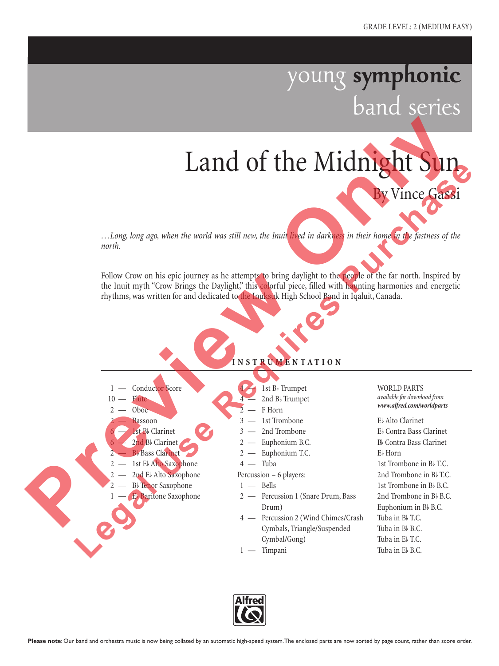Vince Gassi

## ung symphonic band series

# Land of the Midnight

*…Long, long ago, when the world was still new, the Inuit lived in darkness in their home in the fastness of the north.*

Follow Crow on his epic journey as he attempts to bring daylight to the people of the far north. Inspired by the Inuit myth "Crow Brings the Daylight," this colorful piece, filled with haunting harmonies and energetic rhythms, was written for and dedicated to the Inuksuk High School Band in Iqaluit, Canada. **Land of the Midnight Sun**<br>  $\frac{1}{\tan x} \cos \theta$  when the neutrino still was side and the distribution in the box of the neutrino of the control tens of the change of the control tens of the control tens of the control tens of **LATIQU OT LITE IVITAITING USERS**<br>
Legal Use Strong long ages when the world was still new the hundred in the handel bank home Car (distribute the bank of the first plane in the bank of the fact in the bank of the control

- 1 Conductor Score
- 10 Flute
- 2 Oboe
- **Bassoon** 1st B<sub>b</sub> Clarinet
- $2nd$  B<sub>b</sub> Clarinet
- B<sub>b</sub> Bass Clarinet
- 1st E<sub>b</sub> Alto Saxophone
- 2nd El Alto Saxophone
- B<sub>b</sub> Tenor Saxophone
	- E<sub>b</sub> Baritone Saxophone

#### **i n s t r u m e n t a t i o n**

- 1st B<sub>b</sub> Trumpet 2nd B<sub>b</sub> Trumpet
- F Horn 3 — 1st Trombone
- 3 2nd Trombone
- 
- Euphonium B.C. Euphonium T.C.
- 4 Tuba
- Percussion 6 players:
- 1 Bells
- 
- 2 Percussion 1 (Snare Drum, Bass Drum)
- 4 Percussion 2 (Wind Chimes/Crash Cymbals, Triangle/Suspended Cymbal/Gong)
- 1 Timpani

WORLD PARTS *available for download from www.alfred.com/worldparts*

E<sub>b</sub> Alto Clarinet E<sub>b</sub> Contra Bass Clarinet B<sub>b</sub> Contra Bass Clarinet E<sub>b</sub> Horn 1st Trombone in B<sub>b</sub> T.C. 2nd Trombone in B<sub>b</sub> T.C. 1st Trombone in  $B \flat B.C.$ 2nd Trombone in B<sub>b</sub> B.C. Euphonium in B<sub>b</sub> B.C. Tuba in  $B \flat T.C.$ Tuba in B<sub>b</sub> B.C. Tuba in E<sub>b</sub> T.C. Tuba in E B.C.

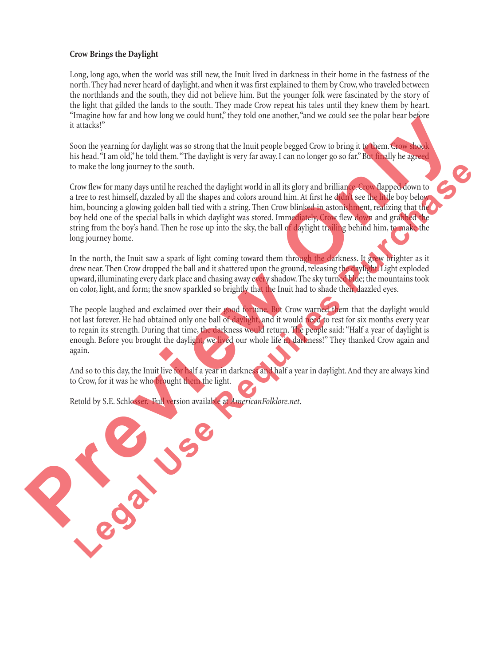#### **Crow Brings the Daylight**

Long, long ago, when the world was still new, the Inuit lived in darkness in their home in the fastness of the north. They had never heard of daylight, and when it was first explained to them by Crow, who traveled between the northlands and the south, they did not believe him. But the younger folk were fascinated by the story of the light that gilded the lands to the south. They made Crow repeat his tales until they knew them by heart. "Imagine how far and how long we could hunt," they told one another, "and we could see the polar bear before it attacks!"

Soon the yearning for daylight was so strong that the Inuit people begged Crow to bring it to them. Crow shook his head. "I am old," he told them. "The daylight is very far away. I can no longer go so far." But finally he agreed to make the long journey to the south.

Crow flew for many days until he reached the daylight world in all its glory and brilliance. Crow flapped down to a tree to rest himself, dazzled by all the shapes and colors around him. At first he didn't see the little boy below him, bouncing a glowing golden ball tied with a string. Then Crow blinked in astonishment, realizing that the boy held one of the special balls in which daylight was stored. Immediately, Crow flew down and grabbed the string from the boy's hand. Then he rose up into the sky, the ball of daylight trailing behind him, to make the long journey home.

In the north, the Inuit saw a spark of light coming toward them through the darkness. It grew brighter as it drew near. Then Crow dropped the ball and it shattered upon the ground, releasing the daylight. Light exploded upward, illuminating every dark place and chasing away every shadow. The sky turned blue; the mountains took on color, light, and form; the snow sparkled so brightly that the Inuit had to shade their dazzled eyes.

The people laughed and exclaimed over their good fortune. But Crow warned them that the daylight would not last forever. He had obtained only one ball of daylight, and it would need to rest for six months every year to regain its strength. During that time, the darkness would return. The people said: "Half a year of daylight is enough. Before you brought the daylight, we lived our whole life in darkness!" They thanked Crow again and again.

And so to this day, the Inuit live for half a year in darkness and half a year in daylight. And they are always kind to Crow, for it was he who brought them the light.

Retold by S.E. Schlosser. Full version available at *AmericanFolklore.net*.

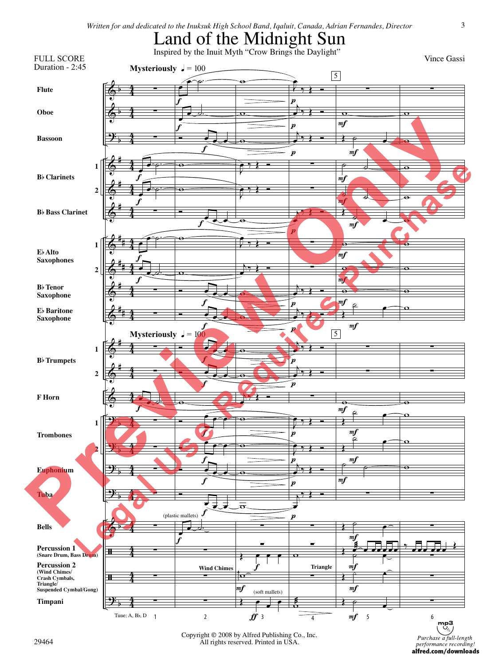### Land of the Midnight Sun

Inspired by the Inuit Myth "Crow Brings the Daylight"



All rights reserved. Printed in USA.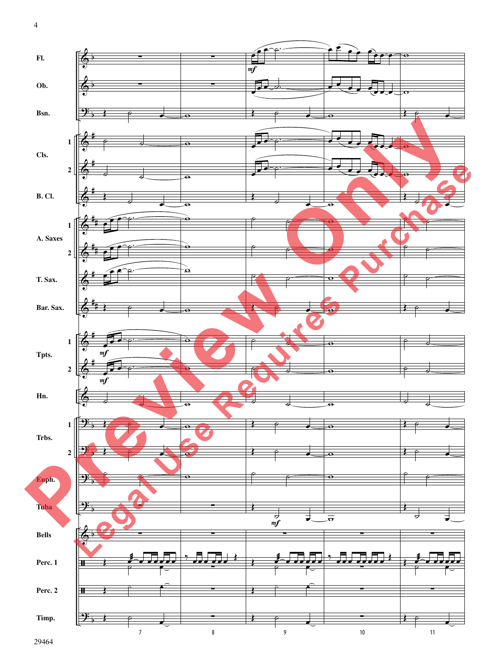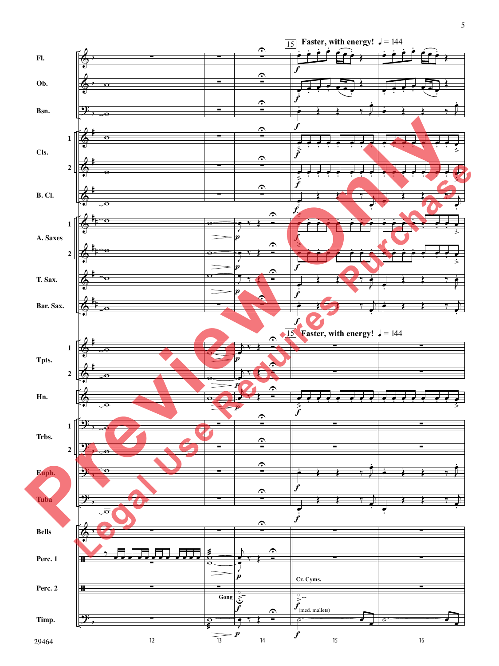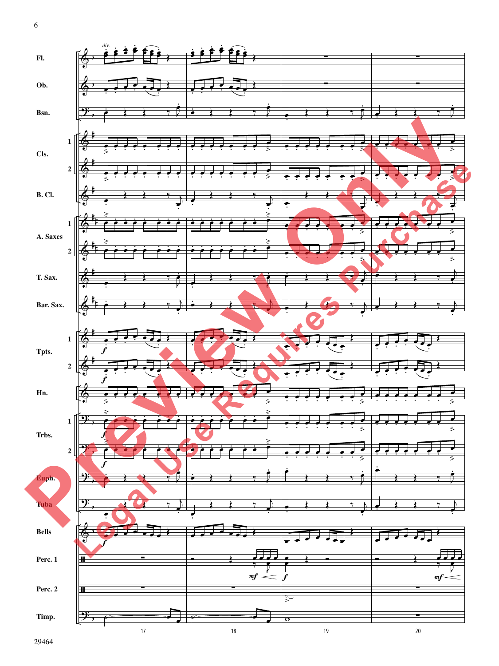

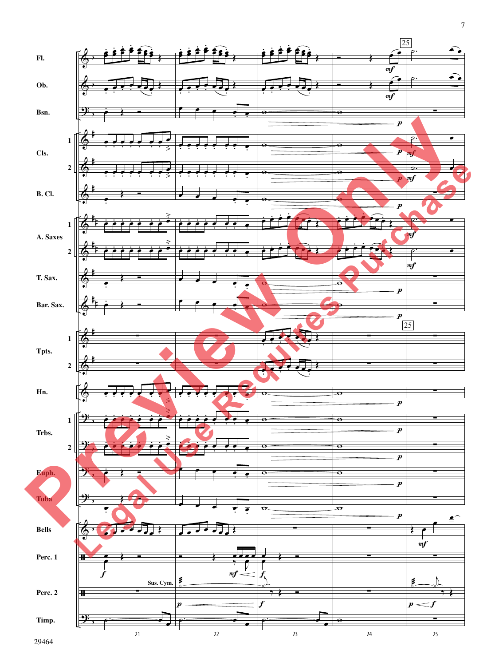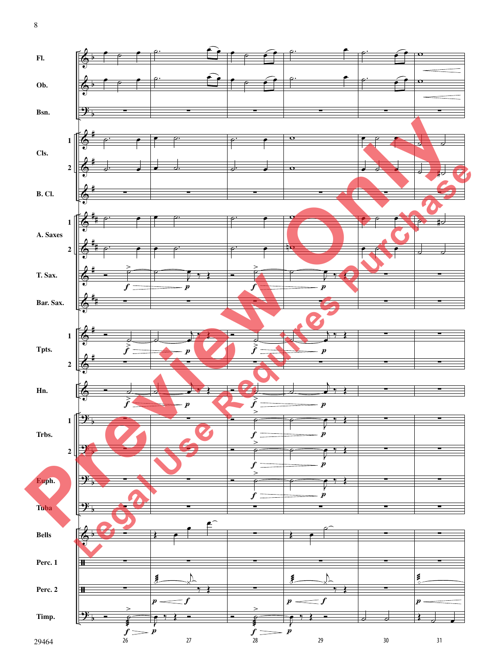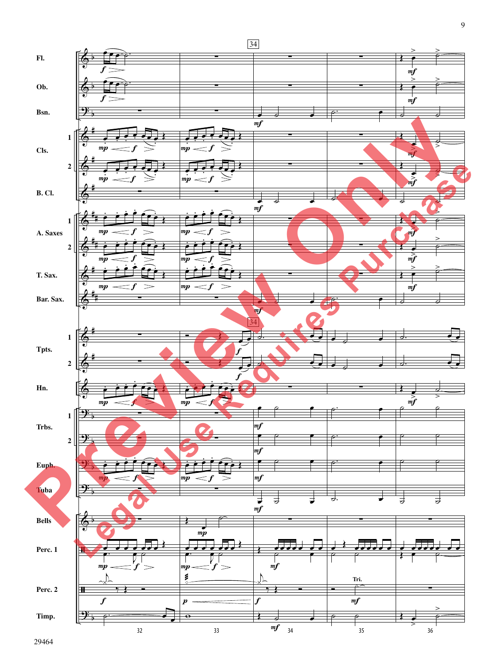

 $\overline{9}$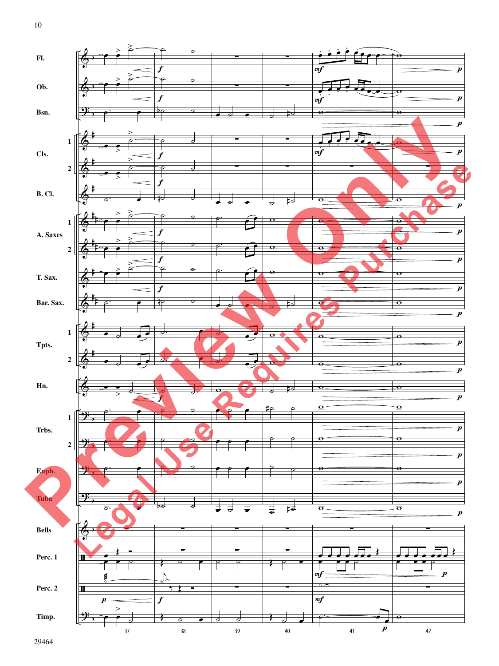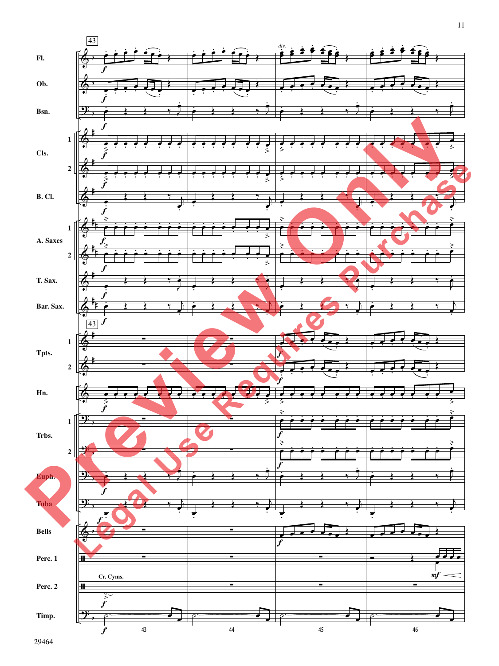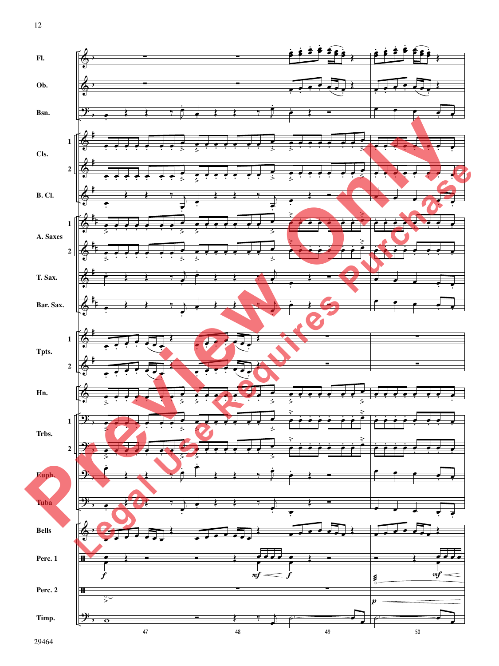

 $12\,$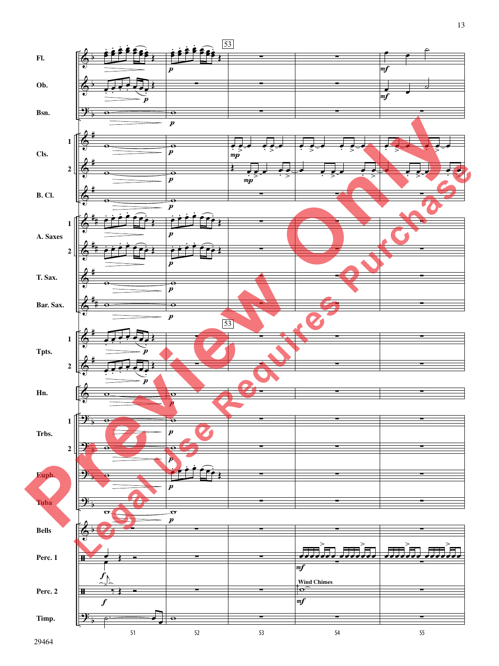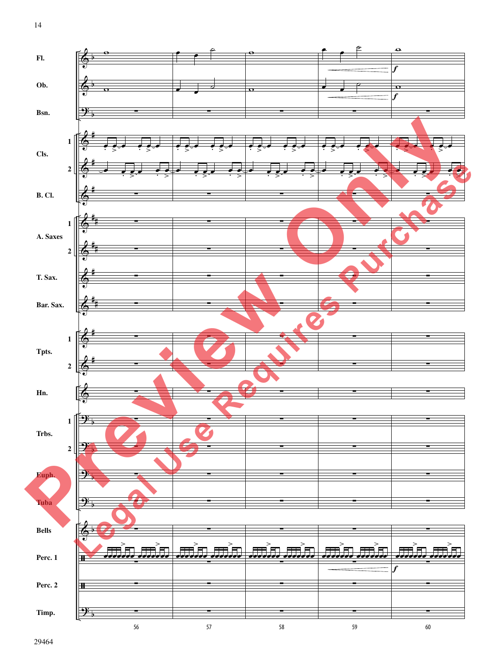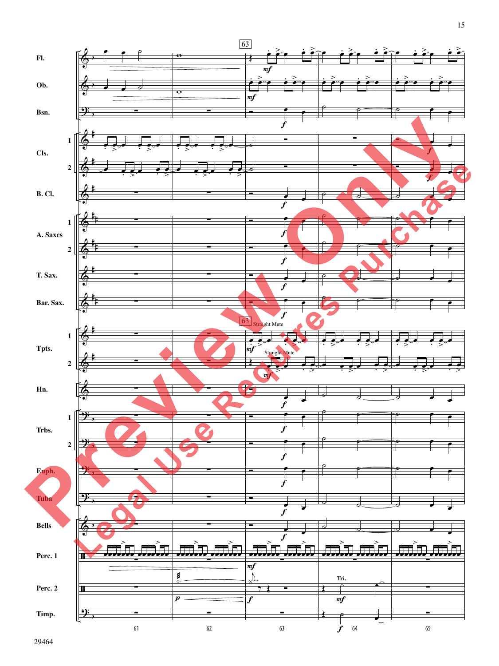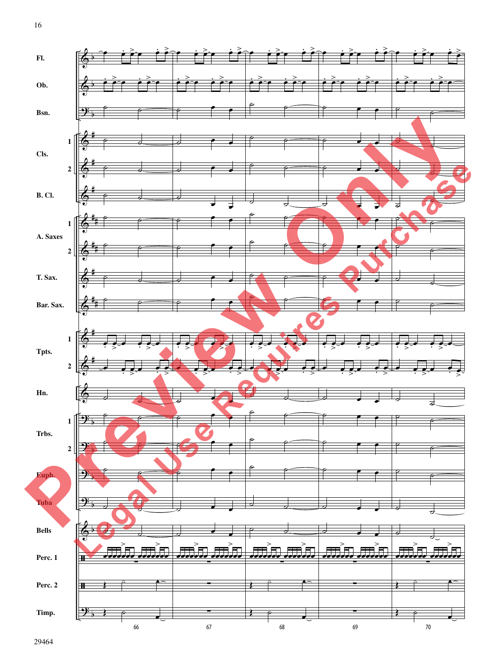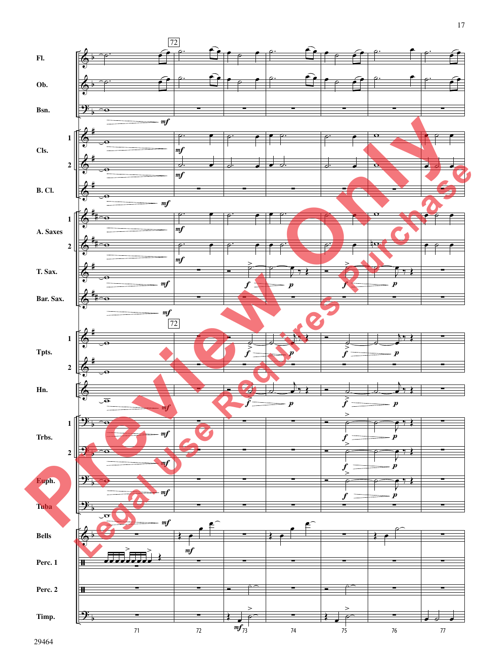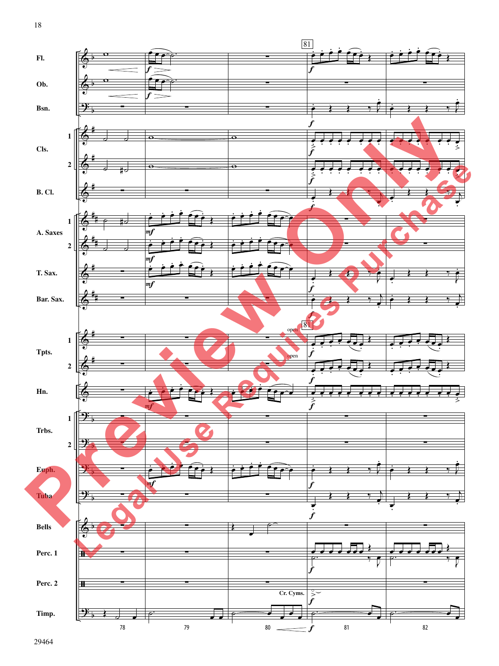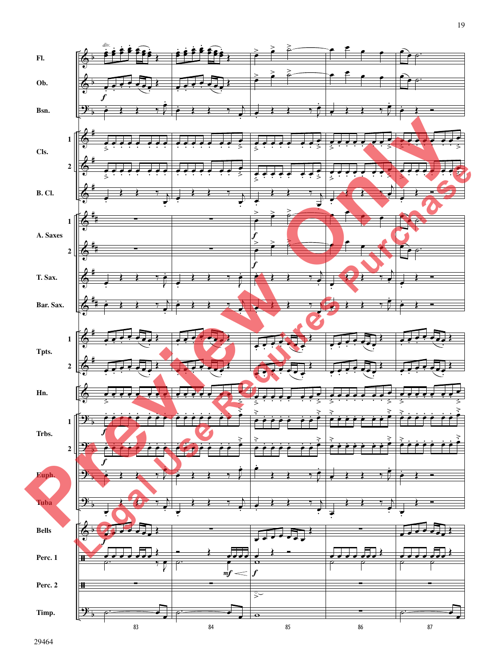